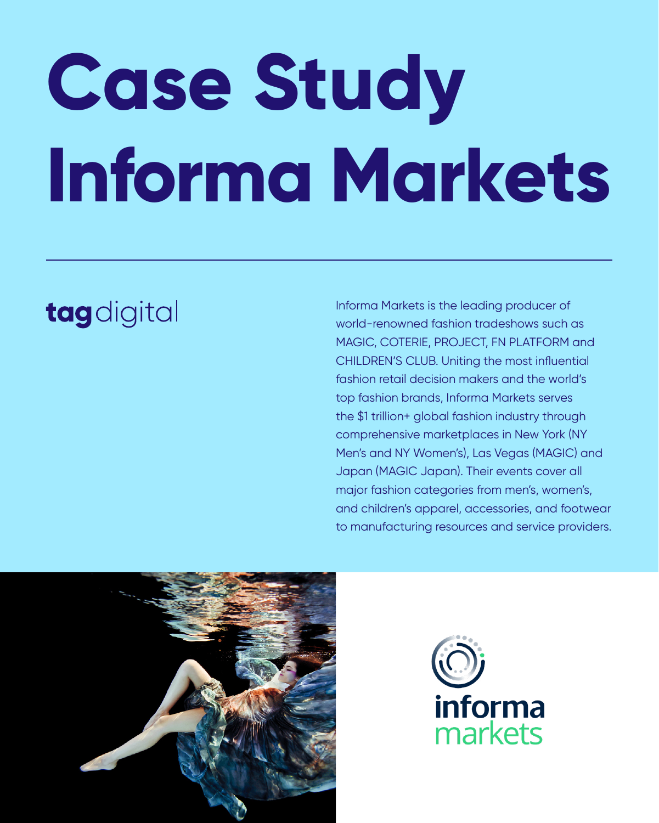# **Case Study**

# **Informa Markets**

### tagdigital

Informa Markets is the leading producer of world-renowned fashion tradeshows such as MAGIC, COTERIE, PROJECT, FN PLATFORM and CHILDREN'S CLUB. Uniting the most influential fashion retail decision makers and the world's top fashion brands, Informa Markets serves the \$1 trillion+ global fashion industry through comprehensive marketplaces in New York (NY Men's and NY Women's), Las Vegas (MAGIC) and Japan (MAGIC Japan). Their events cover all major fashion categories from men's, women's, and children's apparel, accessories, and footwear to manufacturing resources and service providers.



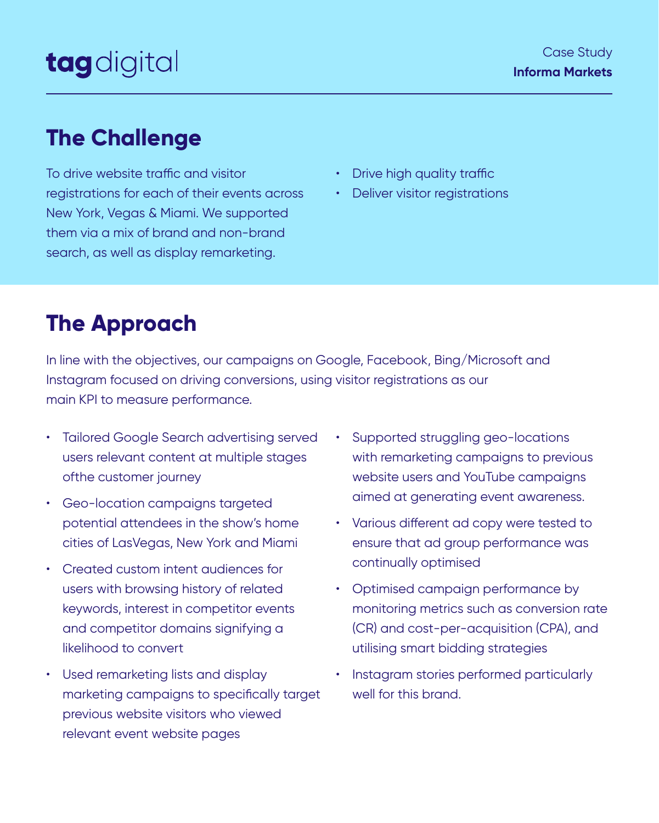To drive website traffic and visitor registrations for each of their events across New York, Vegas & Miami. We supported them via a mix of brand and non-brand search, as well as display remarketing.

- Drive high quality traffic
- Deliver visitor registrations

- Tailored Google Search advertising served users relevant content at multiple stages ofthe customer journey
- Geo-location campaigns targeted potential attendees in the show's home cities of LasVegas, New York and Miami
- Created custom intent audiences for users with browsing history of related keywords, interest in competitor events and competitor domains signifying a likelihood to convert
- Supported struggling geo-locations with remarketing campaigns to previous website users and YouTube campaigns aimed at generating event awareness.
- Various different ad copy were tested to ensure that ad group performance was continually optimised
- Optimised campaign performance by monitoring metrics such as conversion rate (CR) and cost-per-acquisition (CPA), and utilising smart bidding strategies
- Used remarketing lists and display marketing campaigns to specifically target previous website visitors who viewed relevant event website pages
- Instagram stories performed particularly well for this brand.

In line with the objectives, our campaigns on Google, Facebook, Bing/Microsoft and Instagram focused on driving conversions, using visitor registrations as our main KPI to measure performance.

#### **The Challenge**

#### **The Approach**

## tagdigital